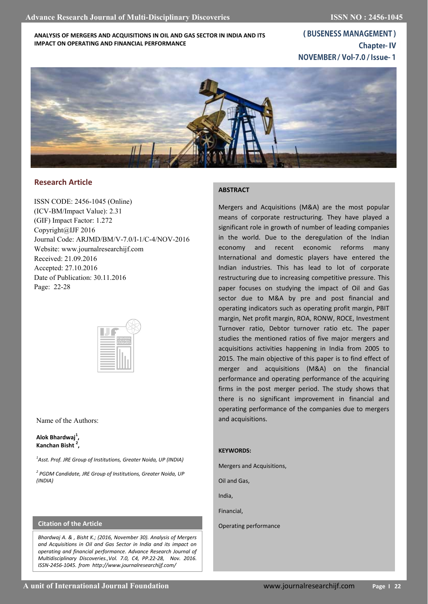## **ANALYSIS OF MERGERS AND ACQUISITIONS IN OIL AND GAS SECTOR IN INDIA AND ITS IMPACT ON OPERATING AND FINANCIAL PERFORMANCE**

(BUSENESS MANAGEMENT) **Chapter-IV** NOVEMBER / Vol-7.0 / Issue-1



# **Research Article**

ISSN CODE: 2456-1045 (Online) (ICV-BM/Impact Value): 2.31 (GIF) Impact Factor: 1.272 Copyright@IJF 2016 Journal Code: ARJMD/BM/V-7.0/I-1/C-4/NOV-2016 Website: www.journalresearchijf.com Received: 21.09.2016 Accepted: 27.10.2016 Date of Publication: 30.11.2016 Page: 22-28



### Name of the Authors:

## **Alok Bhardwaj<sup>1</sup> , Kanchan Bisht <sup>2</sup> ,**

*1 Asst. Prof. JRE Group of Institutions, Greater Noida, UP (INDIA)*

*2 PGDM Candidate, JRE Group of Institutions, Greater Noida, UP (INDIA)*

## **Citation of the Article**

*Bhardwaj A. & , Bisht K.; (2016, November 30). Analysis of Mergers and Acquisitions in Oil and Gas Sector in India and its impact on operating and financial performance. Advance Research Journal of Multidisciplinary Discoveries.,Vol. 7.0, C4, PP.22-28, Nov. 2016. ISSN-2456-1045. from http://www.journalresearchijf.com/*

## **ABSTRACT**

Mergers and Acquisitions (M&A) are the most popular means of corporate restructuring. They have played a significant role in growth of number of leading companies in the world. Due to the deregulation of the Indian economy and recent economic reforms many International and domestic players have entered the Indian industries. This has lead to lot of corporate restructuring due to increasing competitive pressure. This paper focuses on studying the impact of Oil and Gas sector due to M&A by pre and post financial and operating indicators such as operating profit margin, PBIT margin, Net profit margin, ROA, RONW, ROCE, Investment Turnover ratio, Debtor turnover ratio etc. The paper studies the mentioned ratios of five major mergers and acquisitions activities happening in India from 2005 to 2015. The main objective of this paper is to find effect of merger and acquisitions (M&A) on the financial performance and operating performance of the acquiring firms in the post merger period. The study shows that there is no significant improvement in financial and operating performance of the companies due to mergers and acquisitions.

#### **KEYWORDS:**

Mergers and Acquisitions,

Oil and Gas,

India,

Financial,

Operating performance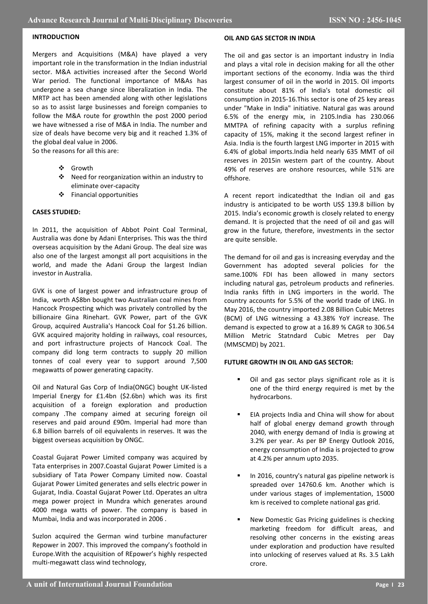## **INTRODUCTION**

Mergers and Acquisitions (M&A) have played a very important role in the transformation in the Indian industrial sector. M&A activities increased after the Second World War period. The functional importance of M&As has undergone a sea change since liberalization in India. The MRTP act has been amended along with other legislations so as to assist large businesses and foreign companies to follow the M&A route for growthIn the post 2000 period we have witnessed a rise of M&A in India. The number and size of deals have become very big and it reached 1.3% of the global deal value in 2006.

So the reasons for all this are:

- Growth
- Need for reorganization within an industry to eliminate over-capacity
- Financial opportunities

## **CASES STUDIED:**

In 2011, the acquisition of Abbot Point Coal Terminal, Australia was done by Adani Enterprises. This was the third overseas acquisition by the Adani Group. The deal size was also one of the largest amongst all port acquisitions in the world, and made the Adani Group the largest Indian investor in Australia.

GVK is one of largest power and infrastructure group of India, worth A\$8bn bought two Australian coal mines from Hancock Prospecting which was privately controlled by the billionaire Gina Rinehart. GVK Power, part of the GVK Group, acquired Australia's Hancock Coal for \$1.26 billion. GVK acquired majority holding in railways, coal resources, and port infrastructure projects of Hancock Coal. The company did long term contracts to supply 20 million tonnes of coal every year to support around 7,500 megawatts of power generating capacity.

Oil and Natural Gas Corp of India(ONGC) bought UK-listed Imperial Energy for £1.4bn (\$2.6bn) which was its first acquisition of a foreign exploration and production company .The company aimed at securing foreign oil reserves and paid around £90m. Imperial had more than 6.8 billion barrels of oil equivalents in reserves. It was the biggest overseas acquisition by ONGC.

Coastal Gujarat Power Limited company was acquired by Tata enterprises in 2007.Coastal Gujarat Power Limited is a subsidiary of Tata Power Company Limited now. Coastal Gujarat Power Limited generates and sells electric power in Gujarat, India. Coastal Gujarat Power Ltd. Operates an ultra mega power project in Mundra which generates around 4000 mega watts of power. The company is based in Mumbai, India and was incorporated in 2006 .

Suzlon acquired the German wind turbine manufacturer Repower in 2007. This improved the company's foothold in Europe.With the acquisition of REpower's highly respected multi-megawatt class wind technology,

## **OIL AND GAS SECTOR IN INDIA**

The oil and gas sector is an important industry in India and plays a vital role in decision making for all the other important sections of the economy. India was the third largest consumer of oil in the world in 2015. Oil imports constitute about 81% of India's total domestic oil consumption in 2015-16.This sector is one of 25 key areas under "Make in India" initiative. Natural gas was around 6.5% of the energy mix, in 2105.India has 230.066 MMTPA of refining capacity with a surplus refining capacity of 15%, making it the second largest refiner in Asia. India is the fourth largest LNG importer in 2015 with 6.4% of global imports.India held nearly 635 MMT of oil reserves in 2015in western part of the country. About 49% of reserves are onshore resources, while 51% are offshore.

A recent report indicatedthat the Indian oil and gas industry is anticipated to be worth US\$ 139.8 billion by 2015. India's economic growth is closely related to energy demand. It is projected that the need of oil and gas will grow in the future, therefore, investments in the sector are quite sensible.

The demand for oil and gas is increasing everyday and the Government has adopted several policies for the same.100% FDI has been allowed in many sectors including natural gas, petroleum products and refineries. India ranks fifth in LNG importers in the world. The country accounts for 5.5% of the world trade of LNG. In May 2016, the country imported 2.08 Billion Cubic Metres (BCM) of LNG witnessing a 43.38% YoY increase. The demand is expected to grow at a 16.89 % CAGR to 306.54 Million Metric Statndard Cubic Metres per Day (MMSCMD) by 2021.

## **FUTURE GROWTH IN OIL AND GAS SECTOR:**

- Oil and gas sector plays significant role as it is one of the third energy required is met by the hydrocarbons.
- EIA projects India and China will show for about half of global energy demand growth through 2040, with energy demand of India is growing at 3.2% per year. As per BP Energy Outlook 2016, energy consumption of India is projected to grow at 4.2% per annum upto 2035.
- In 2016, country's natural gas pipeline network is spreaded over 14760.6 km. Another which is under various stages of implementation, 15000 km is received to complete national gas grid.
- New Domestic Gas Pricing guidelines is checking marketing freedom for difficult areas, and resolving other concerns in the existing areas under exploration and production have resulted into unlocking of reserves valued at Rs. 3.5 Lakh crore.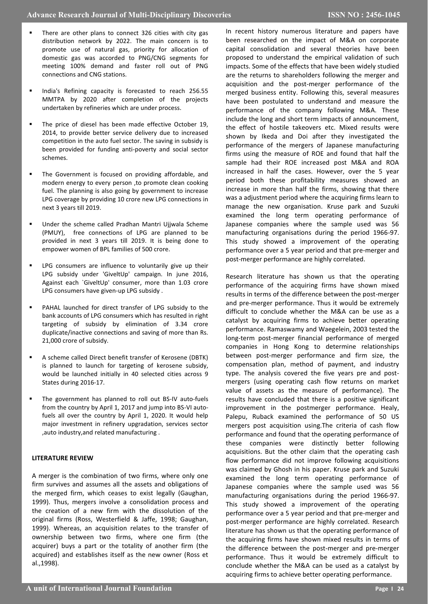- There are other plans to connect 326 cities with city gas distribution network by 2022. The main concern is to promote use of natural gas, priority for allocation of domestic gas was accorded to PNG/CNG segments for meeting 100% demand and faster roll out of PNG connections and CNG stations.
- India's Refining capacity is forecasted to reach 256.55 MMTPA by 2020 after completion of the projects undertaken by refineries which are under process.
- The price of diesel has been made effective October 19, 2014, to provide better service delivery due to increased competition in the auto fuel sector. The saving in subsidy is been provided for funding anti-poverty and social sector schemes.
- The Government is focused on providing affordable, and modern energy to every person ,to promote clean cooking fuel. The planning is also going by government to increase LPG coverage by providing 10 crore new LPG connections in next 3 years till 2019.
- Under the scheme called Pradhan Mantri Ujjwala Scheme (PMUY), free connections of LPG are planned to be provided in next 3 years till 2019. It is being done to empower women of BPL families of 500 crore.
- LPG consumers are influence to voluntarily give up their LPG subsidy under 'GiveltUp' campaign. In june 2016, Against each `GiveltUp' consumer, more than 1.03 crore LPG consumers have given-up LPG subsidy .
- PAHAL launched for direct transfer of LPG subsidy to the bank accounts of LPG consumers which has resulted in right targeting of subsidy by elimination of 3.34 crore duplicate/inactive connections and saving of more than Rs. 21,000 crore of subsidy.
- A scheme called Direct benefit transfer of Kerosene (DBTK) is planned to launch for targeting of kerosene subsidy, would be launched initially in 40 selected cities across 9 States during 2016-17.
- The government has planned to roll out BS-IV auto-fuels from the country by April 1, 2017 and jump into BS-VI autofuels all over the country by April 1, 2020. It would help major investment in refinery upgradation, services sector ,auto industry,and related manufacturing .

### **LITERATURE REVIEW**

A merger is the combination of two firms, where only one firm survives and assumes all the assets and obligations of the merged firm, which ceases to exist legally (Gaughan, 1999). Thus, mergers involve a consolidation process and the creation of a new firm with the dissolution of the original firms (Ross, Westerfield & Jaffe, 1998; Gaughan, 1999). Whereas, an acquisition relates to the transfer of ownership between two firms, where one firm (the acquirer) buys a part or the totality of another firm (the acquired) and establishes itself as the new owner (Ross et al.,1998).

In recent history numerous literature and papers have been researched on the impact of M&A on corporate capital consolidation and several theories have been proposed to understand the empirical validation of such impacts. Some of the effects that have been widely studied are the returns to shareholders following the merger and acquisition and the post-merger performance of the merged business entity. Following this, several measures have been postulated to understand and measure the performance of the company following M&A. These include the long and short term impacts of announcement, the effect of hostile takeovers etc. Mixed results were shown by Ikeda and Doi after they investigated the performance of the mergers of Japanese manufacturing firms using the measure of ROE and found that half the sample had their ROE increased post M&A and ROA increased in half the cases. However, over the 5 year period both these profitability measures showed an increase in more than half the firms, showing that there was a adjustment period where the acquiring firms learn to manage the new organisation. Kruse park and Suzuki examined the long term operating performance of Japanese companies where the sample used was 56 manufacturing organisations during the period 1966-97. This study showed a improvement of the operating performance over a 5 year period and that pre-merger and post-merger performance are highly correlated.

Research literature has shown us that the operating performance of the acquiring firms have shown mixed results in terms of the difference between the post-merger and pre-merger performance. Thus it would be extremely difficult to conclude whether the M&A can be use as a catalyst by acquiring firms to achieve better operating performance. Ramaswamy and Waegelein, 2003 tested the long-term post-merger financial performance of merged companies in Hong Kong to determine relationships between post-merger performance and firm size, the compensation plan, method of payment, and industry type. The analysis covered the five years pre and postmergers (using operating cash flow returns on market value of assets as the measure of performance). The results have concluded that there is a positive significant improvement in the postmerger performance. Healy, Palepu, Ruback examined the performance of 50 US mergers post acquisition using.The criteria of cash flow performance and found that the operating performance of these companies were distinctly better following acquisitions. But the other claim that the operating cash flow performance did not improve following acquisitions was claimed by Ghosh in his paper. Kruse park and Suzuki examined the long term operating performance of Japanese companies where the sample used was 56 manufacturing organisations during the period 1966-97. This study showed a improvement of the operating performance over a 5 year period and that pre-merger and post-merger performance are highly correlated. Research literature has shown us that the operating performance of the acquiring firms have shown mixed results in terms of the difference between the post-merger and pre-merger performance. Thus it would be extremely difficult to conclude whether the M&A can be used as a catalyst by acquiring firms to achieve better operating performance.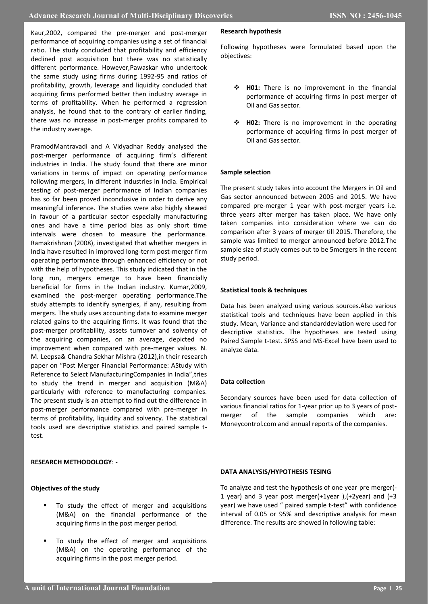Kaur,2002, compared the pre-merger and post-merger performance of acquiring companies using a set of financial ratio. The study concluded that profitability and efficiency declined post acquisition but there was no statistically different performance. However,Pawaskar who undertook the same study using firms during 1992-95 and ratios of profitability, growth, leverage and liquidity concluded that acquiring firms performed better then industry average in terms of profitability. When he performed a regression analysis, he found that to the contrary of earlier finding, there was no increase in post-merger profits compared to the industry average.

PramodMantravadi and A Vidyadhar Reddy analysed the post-merger performance of acquiring firm's different industries in India. The study found that there are minor variations in terms of impact on operating performance following mergers, in different industries in India. Empirical testing of post-merger performance of Indian companies has so far been proved inconclusive in order to derive any meaningful inference. The studies were also highly skewed in favour of a particular sector especially manufacturing ones and have a time period bias as only short time intervals were chosen to measure the performance. Ramakrishnan (2008), investigated that whether mergers in India have resulted in improved long-term post-merger firm operating performance through enhanced efficiency or not with the help of hypotheses. This study indicated that in the long run, mergers emerge to have been financially beneficial for firms in the Indian industry. Kumar,2009, examined the post-merger operating performance.The study attempts to identify synergies, if any, resulting from mergers. The study uses accounting data to examine merger related gains to the acquiring firms. It was found that the post-merger profitability, assets turnover and solvency of the acquiring companies, on an average, depicted no improvement when compared with pre-merger values. N. M. Leepsa& Chandra Sekhar Mishra (2012),in their research paper on "Post Merger Financial Performance: AStudy with Reference to Select ManufacturingCompanies in India",tries to study the trend in merger and acquisition (M&A) particularly with reference to manufacturing companies. The present study is an attempt to find out the difference in post-merger performance compared with pre-merger in terms of profitability, liquidity and solvency. The statistical tools used are descriptive statistics and paired sample ttest.

## **RESEARCH METHODOLOGY**: -

### **Objectives of the study**

- To study the effect of merger and acquisitions (M&A) on the financial performance of the acquiring firms in the post merger period.
- To study the effect of merger and acquisitions (M&A) on the operating performance of the acquiring firms in the post merger period.

#### **Research hypothesis**

Following hypotheses were formulated based upon the objectives:

- **H01:** There is no improvement in the financial performance of acquiring firms in post merger of Oil and Gas sector.
- **H02:** There is no improvement in the operating performance of acquiring firms in post merger of Oil and Gas sector.

#### **Sample selection**

The present study takes into account the Mergers in Oil and Gas sector announced between 2005 and 2015. We have compared pre-merger 1 year with post-merger years i.e. three years after merger has taken place. We have only taken companies into consideration where we can do comparison after 3 years of merger till 2015. Therefore, the sample was limited to merger announced before 2012.The sample size of study comes out to be 5mergers in the recent study period.

#### **Statistical tools & techniques**

Data has been analyzed using various sources.Also various statistical tools and techniques have been applied in this study. Mean, Variance and standarddeviation were used for descriptive statistics. The hypotheses are tested using Paired Sample t-test. SPSS and MS-Excel have been used to analyze data.

### **Data collection**

Secondary sources have been used for data collection of various financial ratios for 1-year prior up to 3 years of postmerger of the sample companies which are: Moneycontrol.com and annual reports of the companies.

#### **DATA ANALYSIS/HYPOTHESIS TESING**

To analyze and test the hypothesis of one year pre merger(- 1 year) and 3 year post merger(+1year ),(+2year) and (+3 year) we have used " paired sample t-test" with confidence interval of 0.05 or 95% and descriptive analysis for mean difference. The results are showed in following table: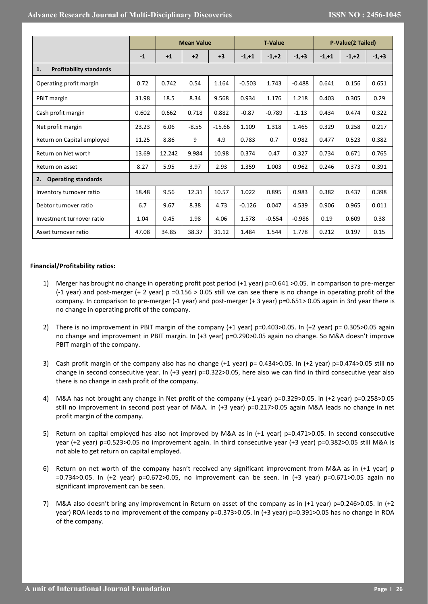|                                      |       | <b>Mean Value</b> |         |          | <b>T-Value</b> |          |          | P-Value(2 Tailed) |         |          |
|--------------------------------------|-------|-------------------|---------|----------|----------------|----------|----------|-------------------|---------|----------|
|                                      | $-1$  | $+1$              | $+2$    | $+3$     | $-1,+1$        | $-1,+2$  | $-1,+3$  | $-1,+1$           | $-1,+2$ | $-1, +3$ |
| <b>Profitability standards</b><br>1. |       |                   |         |          |                |          |          |                   |         |          |
| Operating profit margin              | 0.72  | 0.742             | 0.54    | 1.164    | $-0.503$       | 1.743    | $-0.488$ | 0.641             | 0.156   | 0.651    |
| PBIT margin                          | 31.98 | 18.5              | 8.34    | 9.568    | 0.934          | 1.176    | 1.218    | 0.403             | 0.305   | 0.29     |
| Cash profit margin                   | 0.602 | 0.662             | 0.718   | 0.882    | $-0.87$        | $-0.789$ | $-1.13$  | 0.434             | 0.474   | 0.322    |
| Net profit margin                    | 23.23 | 6.06              | $-8.55$ | $-15.66$ | 1.109          | 1.318    | 1.465    | 0.329             | 0.258   | 0.217    |
| Return on Capital employed           | 11.25 | 8.86              | 9       | 4.9      | 0.783          | 0.7      | 0.982    | 0.477             | 0.523   | 0.382    |
| Return on Net worth                  | 13.69 | 12.242            | 9.984   | 10.98    | 0.374          | 0.47     | 0.327    | 0.734             | 0.671   | 0.765    |
| Return on asset                      | 8.27  | 5.95              | 3.97    | 2.93     | 1.359          | 1.003    | 0.962    | 0.246             | 0.373   | 0.391    |
| <b>Operating standards</b><br>2.     |       |                   |         |          |                |          |          |                   |         |          |
| Inventory turnover ratio             | 18.48 | 9.56              | 12.31   | 10.57    | 1.022          | 0.895    | 0.983    | 0.382             | 0.437   | 0.398    |
| Debtor turnover ratio                | 6.7   | 9.67              | 8.38    | 4.73     | $-0.126$       | 0.047    | 4.539    | 0.906             | 0.965   | 0.011    |
| Investment turnover ratio            | 1.04  | 0.45              | 1.98    | 4.06     | 1.578          | $-0.554$ | $-0.986$ | 0.19              | 0.609   | 0.38     |
| Asset turnover ratio                 | 47.08 | 34.85             | 38.37   | 31.12    | 1.484          | 1.544    | 1.778    | 0.212             | 0.197   | 0.15     |

## **Financial/Profitability ratios:**

- 1) Merger has brought no change in operating profit post period (+1 year) p=0.641 >0.05. In comparison to pre-merger (-1 year) and post-merger (+ 2 year)  $p = 0.156 > 0.05$  still we can see there is no change in operating profit of the company. In comparison to pre-merger (-1 year) and post-merger (+ 3 year) p=0.651> 0.05 again in 3rd year there is no change in operating profit of the company.
- 2) There is no improvement in PBIT margin of the company (+1 year) p=0.403>0.05. In (+2 year) p= 0.305>0.05 again no change and improvement in PBIT margin. In (+3 year) p=0.290>0.05 again no change. So M&A doesn't improve PBIT margin of the company.
- 3) Cash profit margin of the company also has no change (+1 year) p= 0.434>0.05. In (+2 year) p=0.474>0.05 still no change in second consecutive year. In (+3 year) p=0.322>0.05, here also we can find in third consecutive year also there is no change in cash profit of the company.
- 4) M&A has not brought any change in Net profit of the company (+1 year) p=0.329>0.05. in (+2 year) p=0.258>0.05 still no improvement in second post year of M&A. In (+3 year) p=0.217>0.05 again M&A leads no change in net profit margin of the company.
- 5) Return on capital employed has also not improved by M&A as in (+1 year) p=0.471>0.05. In second consecutive year (+2 year) p=0.523>0.05 no improvement again. In third consecutive year (+3 year) p=0.382>0.05 still M&A is not able to get return on capital employed.
- 6) Return on net worth of the company hasn't received any significant improvement from M&A as in (+1 year) p =0.734>0.05. In (+2 year) p=0.672>0.05, no improvement can be seen. In (+3 year) p=0.671>0.05 again no significant improvement can be seen.
- 7) M&A also doesn't bring any improvement in Return on asset of the company as in (+1 year) p=0.246>0.05. In (+2 year) ROA leads to no improvement of the company p=0.373>0.05. In (+3 year) p=0.391>0.05 has no change in ROA of the company.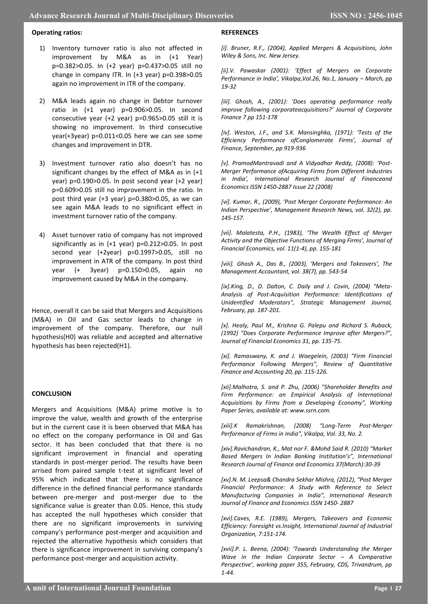## **Operating ratios:**

- 1) Inventory turnover ratio is also not affected in improvement by M&A as in (+1 Year) p=0.382>0.05. In (+2 year) p=0.437>0.05 still no change in company ITR. In (+3 year) p=0.398>0.05 again no improvement in ITR of the company.
- 2) M&A leads again no change in Debtor turnover ratio in (+1 year) p=0.906>0.05. In second consecutive year (+2 year) p=0.965>0.05 still it is showing no improvement. In third consecutive year(+3year) p=0.011<0.05 here we can see some changes and improvement in DTR.
- 3) Investment turnover ratio also doesn't has no significant changes by the effect of M&A as in (+1 year) p=0.190>0.05. In post second year (+2 year) p=0.609>0.05 still no improvement in the ratio. In post third year (+3 year) p=0.380>0.05, as we can see again M&A leads to no significant effect in investment turnover ratio of the company.
- 4) Asset turnover ratio of company has not improved significantly as in (+1 year) p=0.212>0.05. In post second year (+2year) p=0.1997>0.05, still no improvement in ATR of the company. In post third year (+ 3year) p=0.150>0.05, again no improvement caused by M&A in the company.

Hence, overall it can be said that Mergers and Acquisitions (M&A) in Oil and Gas sector leads to change in improvement of the company. Therefore, our null hypothesis(H0) was reliable and accepted and alternative hypothesis has been rejected(H1).

# **CONCLUSION**

Mergers and Acquisitions (M&A) prime motive is to improve the value, wealth and growth of the enterprise but in the current case it is been observed that M&A has no effect on the company performance in Oil and Gas sector. It has been concluded that that there is no significant improvement in financial and operating standards in post-merger period. The results have been arrised from paired sample t-test at significant level of 95% which indicated that there is no significance difference in the defined financial performance standards between pre-merger and post-merger due to the significance value is greater than 0.05. Hence, this study has accepted the null hypotheses which consider that there are no significant improvements in surviving company's performance post-merger and acquisition and rejected the alternative hypothesis which considers that there is significance improvement in surviving company's performance post-merger and acquisition activity.

## **REFERENCES**

*[i]. Bruner, R.F., (2004), Applied Mergers & Acquisitions, John Wiley & Sons, Inc. New Jersey.* 

*[ii].V. Pawaskar (2001): 'Effect of Mergers on Corporate Performance in India', Vikalpa,Vol.26, No.1, January – March, pp 19-32*

*[iii]. Ghosh, A., (2001): 'Does operating performance really improve following corporateacquisitions?' Journal of Corporate Finance 7 pp 151-178*

*[iv]. Weston, J.F., and S.K. Mansinghka, (1971): 'Tests of the Efficiency Performance ofConglomerate Firms', Journal of Finance, September, pp 919-936*

*[v]. PramodMantravadi and A Vidyadhar Reddy, (2008): 'Post-Merger Performance ofAcquiring Firms from Different Industries in India', International Research Journal of Financeand Economics ISSN 1450-2887 Issue 22 (2008)*

*[vi]. Kumar, R., (2009), 'Post Merger Corporate Performance: An Indian Perspective', Management Research News, vol. 32(2), pp. 145-157.* 

*[vii]. Malatesta, P.H., (1983), 'The Wealth Effect of Merger Activity and the Objective Functions of Merging Firms', Journal of Financial Economics, vol. 11(1-4), pp. 155-181* 

*[viii]. Ghosh A., Das B., (2003), 'Mergers and Takeovers', The Management Accountant, vol. 38(7), pp. 543-54* 

*[ix].King, D., D. Dalton, C. Daily and J. Covin, (2004) "Meta-Analysis of Post-Acquisition Performance: Identifications of Unidentified Moderators", Strategic Management Journal, February, pp. 187-201.*

*[x]. Healy, Paul M., Krishna G. Palepu and Richard S. Ruback, (1992) "Does Corporate Performance Improve after Mergers?", Journal of Financial Economics 31, pp. 135-75.*

*[xi]. Ramaswany, K. and J. Waegelein, (2003) "Firm Financial Performance Following Mergers", Review of Quantitative Finance and Accounting 20, pp. 115-126.*

*[xii].Malhotra, S. and P. Zhu, (2006) "Shareholder Benefits and Firm Performance: an Empirical Analysis of International Acquisitions by Firms from a Developing Economy", Working Paper Series, available at: www.ssrn.com.*

*[xiii].K Ramakrishnan, (2008) "Long-Term Post-Merger Performance of Firms in India", Vikalpa, Vol. 33, No. 2.*

*[xiv].Ravichandran, K., Mat nor F. &Mohd Said R. (2010) "Market Based Mergers In Indian Banking Institution's", International Research Journal of Finance and Economics 37(March):30-39*

*[xv].N. M. Leepsa& Chandra Sekhar Mishra, (2012), "Post Merger Financial Performance: A Study with Reference to Select Manufacturing Companies in India", International Research Journal of Finance and Economics ISSN 1450- 2887*

*[xvi].Caves, R.E. (1989), Mergers, Takeovers and Economic Efficiency: Foresight vs.Insight, International Journal of Industrial Organization, 7:151-174.*

*[xvii].P. L. Beena, (2004): 'Towards Understanding the Merger Wave in the Indian Corporate Sector – A Comparative Perspective', working paper 355, February, CDS, Trivandrum, pp 1-44.*